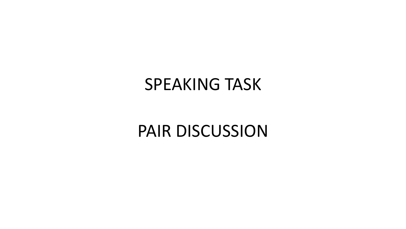## SPEAKING TASK

## PAIR DISCUSSION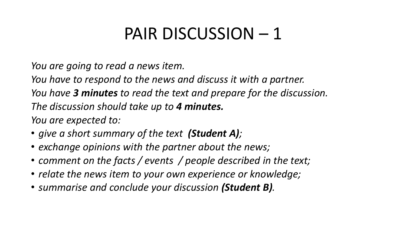*You are going to read a news item.* 

*You have to respond to the news and discuss it with a partner.*

*You have 3 minutes to read the text and prepare for the discussion.*

*The discussion should take up to 4 minutes.*

- *give a short summary of the text (Student A);*
- *exchange opinions with the partner about the news;*
- *comment on the facts / events / people described in the text;*
- *relate the news item to your own experience or knowledge;*
- *summarise and conclude your discussion (Student B).*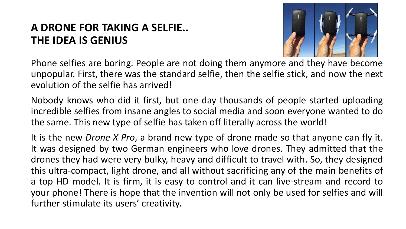### **A DRONE FOR TAKING A SELFIE.. THE IDEA IS GENIUS**



Phone selfies are boring. People are not doing them anymore and they have become unpopular. First, there was the standard selfie, then the selfie stick, and now the next evolution of the selfie has arrived!

Nobody knows who did it first, but one day thousands of people started uploading incredible selfies from insane angles to social media and soon everyone wanted to do the same. This new type of selfie has taken off literally across the world!

It is the new *Drone X Pro*, a brand new type of drone made so that anyone can fly it. It was designed by two German engineers who love drones. They admitted that the drones they had were very bulky, heavy and difficult to travel with. So, they designed this ultra-compact, light drone, and all without sacrificing any of the main benefits of a top HD model. It is firm, it is easy to control and it can live-stream and record to your phone! There is hope that the invention will not only be used for selfies and will further stimulate its users' creativity.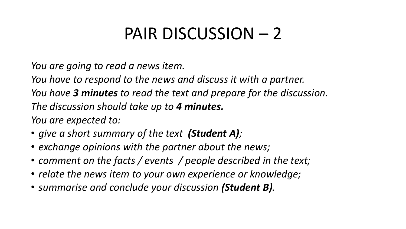*You are going to read a news item.* 

*You have to respond to the news and discuss it with a partner.*

*You have 3 minutes to read the text and prepare for the discussion.*

*The discussion should take up to 4 minutes.*

- *give a short summary of the text (Student A);*
- *exchange opinions with the partner about the news;*
- *comment on the facts / events / people described in the text;*
- *relate the news item to your own experience or knowledge;*
- *summarise and conclude your discussion (Student B).*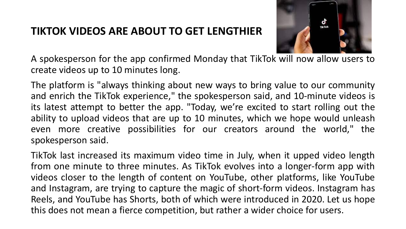#### **TIKTOK VIDEOS ARE ABOUT TO GET LENGTHIER**



A spokesperson for the app confirmed Monday that TikTok will now allow users to create videos up to 10 minutes long.

The platform is "always thinking about new ways to bring value to our community and enrich the TikTok experience," the spokesperson said, and 10-minute videos is its latest attempt to better the app. "Today, we're excited to start rolling out the ability to upload videos that are up to 10 minutes, which we hope would unleash even more creative possibilities for our creators around the world," the spokesperson said.

TikTok last increased its maximum video time in July, when it upped video length from one minute to three minutes. As TikTok evolves into a longer-form app with videos closer to the length of content on YouTube, other platforms, like YouTube and Instagram, are trying to capture the magic of short-form videos. Instagram has Reels, and YouTube has Shorts, both of which were introduced in 2020. Let us hope this does not mean a fierce competition, but rather a wider choice for users.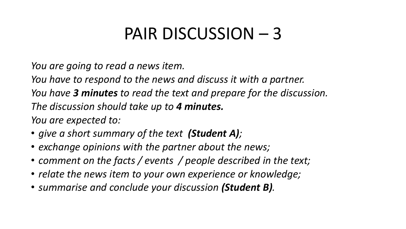*You are going to read a news item.* 

*You have to respond to the news and discuss it with a partner.*

*You have 3 minutes to read the text and prepare for the discussion.*

*The discussion should take up to 4 minutes.*

- *give a short summary of the text (Student A);*
- *exchange opinions with the partner about the news;*
- *comment on the facts / events / people described in the text;*
- *relate the news item to your own experience or knowledge;*
- *summarise and conclude your discussion (Student B).*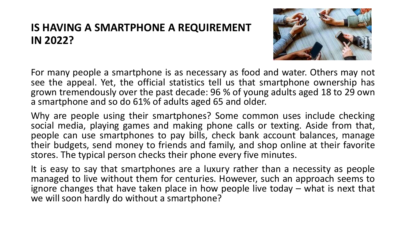### **IS HAVING A SMARTPHONE A REQUIREMENT IN 2022?**



For many people a smartphone is as necessary as food and water. Others may not see the appeal. Yet, the official statistics tell us that smartphone ownership has grown tremendously over the past decade: 96 % of young adults aged 18 to 29 own a smartphone and so do 61% of adults aged 65 and older.

Why are people using their smartphones? Some common uses include checking social media, playing games and making phone calls or texting. Aside from that, people can use smartphones to pay bills, check bank account balances, manage their budgets, send money to friends and family, and shop online at their favorite stores. The typical person checks their phone every five minutes.

It is easy to say that smartphones are a luxury rather than a necessity as people managed to live without them for centuries. However, such an approach seems to ignore changes that have taken place in how people live today – what is next that we will soon hardly do without a smartphone?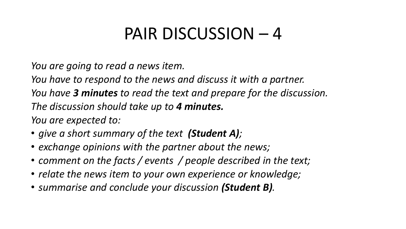*You are going to read a news item.* 

*You have to respond to the news and discuss it with a partner.*

*You have 3 minutes to read the text and prepare for the discussion.*

*The discussion should take up to 4 minutes.*

- *give a short summary of the text (Student A);*
- *exchange opinions with the partner about the news;*
- *comment on the facts / events / people described in the text;*
- *relate the news item to your own experience or knowledge;*
- *summarise and conclude your discussion (Student B).*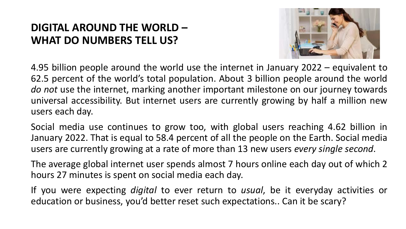### **DIGITAL AROUND THE WORLD – WHAT DO NUMBERS TELL US?**



4.95 billion people around the world use the internet in January 2022 – equivalent to 62.5 percent of the world's total population. About 3 billion people around the world *do not* use the internet, marking another important milestone on our journey towards universal accessibility. But internet users are currently growing by half a million new users each day.

Social media use continues to grow too, with global users reaching 4.62 billion in January 2022. That is equal to 58.4 percent of all the people on the Earth. Social media users are currently growing at a rate of more than 13 new users *every single second*.

The average global internet user spends almost 7 hours online each day out of which 2 hours 27 minutes is spent on social media each day.

If you were expecting *digital* to ever return to *usual*, be it everyday activities or education or business, you'd better reset such expectations.. Can it be scary?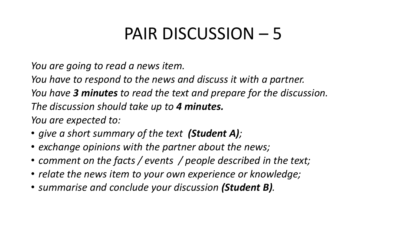*You are going to read a news item.* 

*You have to respond to the news and discuss it with a partner.*

*You have 3 minutes to read the text and prepare for the discussion.*

*The discussion should take up to 4 minutes.*

- *give a short summary of the text (Student A);*
- *exchange opinions with the partner about the news;*
- *comment on the facts / events / people described in the text;*
- *relate the news item to your own experience or knowledge;*
- *summarise and conclude your discussion (Student B).*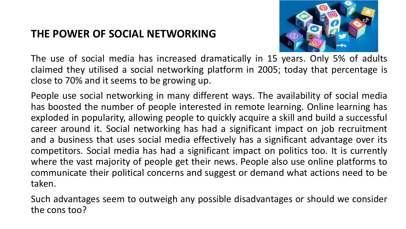#### **THE POWER OF SOCIAL NETWORKING**



The use of social media has increased dramatically in 15 years. Only 5% of adults claimed they utilised a social networking platform in 2005; today that percentage is close to 70% and it seems to be growing up.

People use social networking in many different ways. The availability of social media has boosted the number of people interested in remote learning. Online learning has exploded in popularity, allowing people to quickly acquire a skill and build a successful career around it. Social networking has had a significant impact on job recruitment and a business that uses social media effectively has a significant advantage over its competitors. Social media has had a significant impact on politics too. It is currently where the vast majority of people get their news. People also use online platforms to communicate their political concerns and suggest or demand what actions need to be taken.

Such advantages seem to outweigh any possible disadvantages or should we consider the cons too?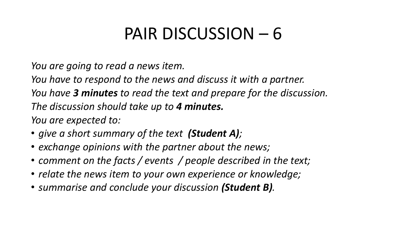*You are going to read a news item.* 

*You have to respond to the news and discuss it with a partner.*

*You have 3 minutes to read the text and prepare for the discussion.*

*The discussion should take up to 4 minutes.*

- *give a short summary of the text (Student A);*
- *exchange opinions with the partner about the news;*
- *comment on the facts / events / people described in the text;*
- *relate the news item to your own experience or knowledge;*
- *summarise and conclude your discussion (Student B).*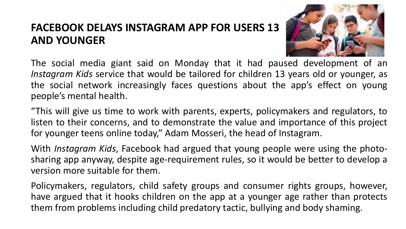### **FACEBOOK DELAYS INSTAGRAM APP FOR USERS 13 AND YOUNGER**



The social media giant said on Monday that it had paused development of an *Instagram Kids* service that would be tailored for children 13 years old or younger, as the social network increasingly faces questions about the app's effect on young people's mental health.

"This will give us time to work with parents, experts, policymakers and regulators, to listen to their concerns, and to demonstrate the value and importance of this project for younger teens online today," Adam Mosseri, the head of Instagram.

With *Instagram Kids*, Facebook had argued that young people were using the photosharing app anyway, despite age-requirement rules, so it would be better to develop a version more suitable for them.

Policymakers, regulators, child safety groups and consumer rights groups, however, have argued that it hooks children on the app at a younger age rather than protects them from problems including child predatory tactic, bullying and body shaming.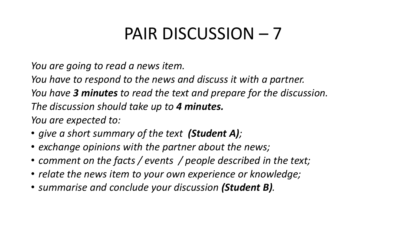*You are going to read a news item.* 

*You have to respond to the news and discuss it with a partner.*

*You have 3 minutes to read the text and prepare for the discussion.*

*The discussion should take up to 4 minutes.*

- *give a short summary of the text (Student A);*
- *exchange opinions with the partner about the news;*
- *comment on the facts / events / people described in the text;*
- *relate the news item to your own experience or knowledge;*
- *summarise and conclude your discussion (Student B).*